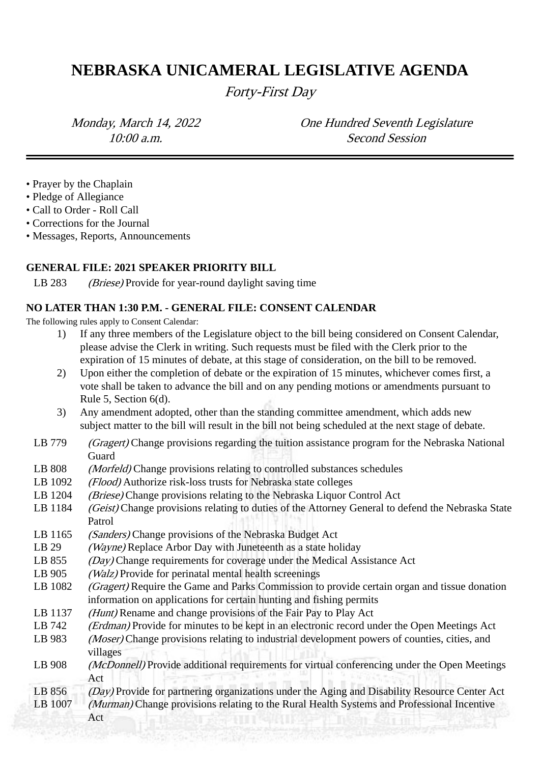# **NEBRASKA UNICAMERAL LEGISLATIVE AGENDA**

Forty-First Day

Monday, March 14, 2022 One Hundred Seventh Legislature 10:00 a.m. Second Session

- Prayer by the Chaplain
- Pledge of Allegiance
- Call to Order Roll Call
- Corrections for the Journal
- Messages, Reports, Announcements

#### **GENERAL FILE: 2021 SPEAKER PRIORITY BILL**

LB 283 *(Briese)* Provide for year-round daylight saving time

#### **NO LATER THAN 1:30 P.M. - GENERAL FILE: CONSENT CALENDAR**

The following rules apply to Consent Calendar:

- 1) If any three members of the Legislature object to the bill being considered on Consent Calendar, please advise the Clerk in writing. Such requests must be filed with the Clerk prior to the expiration of 15 minutes of debate, at this stage of consideration, on the bill to be removed.
- 2) Upon either the completion of debate or the expiration of 15 minutes, whichever comes first, a vote shall be taken to advance the bill and on any pending motions or amendments pursuant to Rule 5, Section 6(d).
- 3) Any amendment adopted, other than the standing committee amendment, which adds new subject matter to the bill will result in the bill not being scheduled at the next stage of debate.
- LB 779 (Gragert) Change provisions regarding the tuition assistance program for the Nebraska National Guard
- LB 808 *(Morfeld)* Change provisions relating to controlled substances schedules
- LB 1092 (*Flood*) Authorize risk-loss trusts for Nebraska state colleges
- LB 1204 (Briese) Change provisions relating to the Nebraska Liquor Control Act
- LB 1184 *(Geist)* Change provisions relating to duties of the Attorney General to defend the Nebraska State Patrol
- LB 1165 *(Sanders)* Change provisions of the Nebraska Budget Act
- LB 29 *(Wayne)* Replace Arbor Day with Juneteenth as a state holiday
- LB 855 (Day) Change requirements for coverage under the Medical Assistance Act
- LB 905 *(Walz)* Provide for perinatal mental health screenings
- LB 1082 (Gragert) Require the Game and Parks Commission to provide certain organ and tissue donation information on applications for certain hunting and fishing permits
- LB 1137 *(Hunt)* Rename and change provisions of the Fair Pay to Play Act
- LB 742 *(Erdman)* Provide for minutes to be kept in an electronic record under the Open Meetings Act
- LB 983 *(Moser)* Change provisions relating to industrial development powers of counties, cities, and villages
- LB 908 *(McDonnell)* Provide additional requirements for virtual conferencing under the Open Meetings Act
- LB 856 (Day) Provide for partnering organizations under the Aging and Disability Resource Center Act
- LB 1007 (Murman) Change provisions relating to the Rural Health Systems and Professional Incentive Act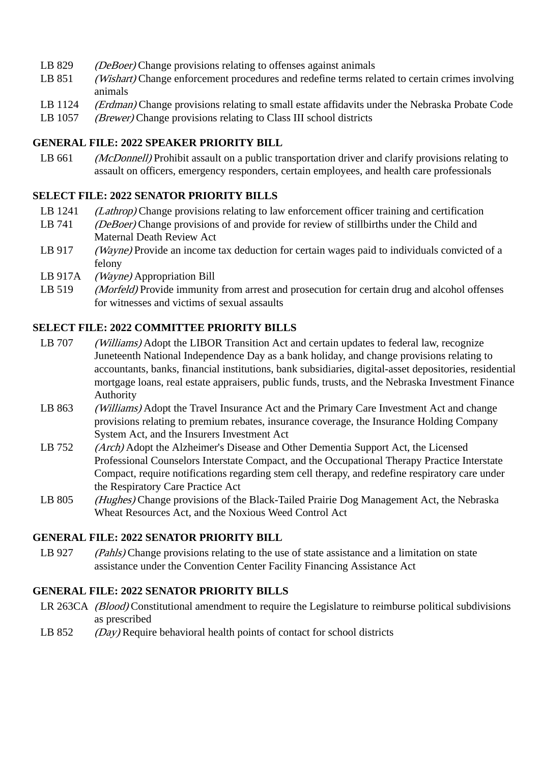- LB 829 *(DeBoer)* Change provisions relating to offenses against animals
- LB 851 (Wishart) Change enforcement procedures and redefine terms related to certain crimes involving animals
- LB 1124 *(Erdman)* Change provisions relating to small estate affidavits under the Nebraska Probate Code
- LB 1057 *(Brewer)* Change provisions relating to Class III school districts

# **GENERAL FILE: 2022 SPEAKER PRIORITY BILL**

LB 661 *(McDonnell)* Prohibit assault on a public transportation driver and clarify provisions relating to assault on officers, emergency responders, certain employees, and health care professionals

## **SELECT FILE: 2022 SENATOR PRIORITY BILLS**

- LB 1241 (*Lathrop*) Change provisions relating to law enforcement officer training and certification
- LB 741 (*DeBoer*) Change provisions of and provide for review of stillbirths under the Child and Maternal Death Review Act
- LB 917 (Wayne) Provide an income tax deduction for certain wages paid to individuals convicted of a felony
- LB 917A (Wayne) Appropriation Bill
- LB 519 *(Morfeld)* Provide immunity from arrest and prosecution for certain drug and alcohol offenses for witnesses and victims of sexual assaults

## **SELECT FILE: 2022 COMMITTEE PRIORITY BILLS**

- LB 707 *(Williams)* Adopt the LIBOR Transition Act and certain updates to federal law, recognize Juneteenth National Independence Day as a bank holiday, and change provisions relating to accountants, banks, financial institutions, bank subsidiaries, digital-asset depositories, residential mortgage loans, real estate appraisers, public funds, trusts, and the Nebraska Investment Finance Authority
- LB 863 *(Williams)* Adopt the Travel Insurance Act and the Primary Care Investment Act and change provisions relating to premium rebates, insurance coverage, the Insurance Holding Company System Act, and the Insurers Investment Act
- LB 752 (Arch) Adopt the Alzheimer's Disease and Other Dementia Support Act, the Licensed Professional Counselors Interstate Compact, and the Occupational Therapy Practice Interstate Compact, require notifications regarding stem cell therapy, and redefine respiratory care under the Respiratory Care Practice Act
- LB 805 (Hughes) Change provisions of the Black-Tailed Prairie Dog Management Act, the Nebraska Wheat Resources Act, and the Noxious Weed Control Act

# **GENERAL FILE: 2022 SENATOR PRIORITY BILL**

LB 927 (Pahls) Change provisions relating to the use of state assistance and a limitation on state assistance under the Convention Center Facility Financing Assistance Act

# **GENERAL FILE: 2022 SENATOR PRIORITY BILLS**

- LR 263CA (Blood) Constitutional amendment to require the Legislature to reimburse political subdivisions as prescribed
- LB 852 (Day) Require behavioral health points of contact for school districts